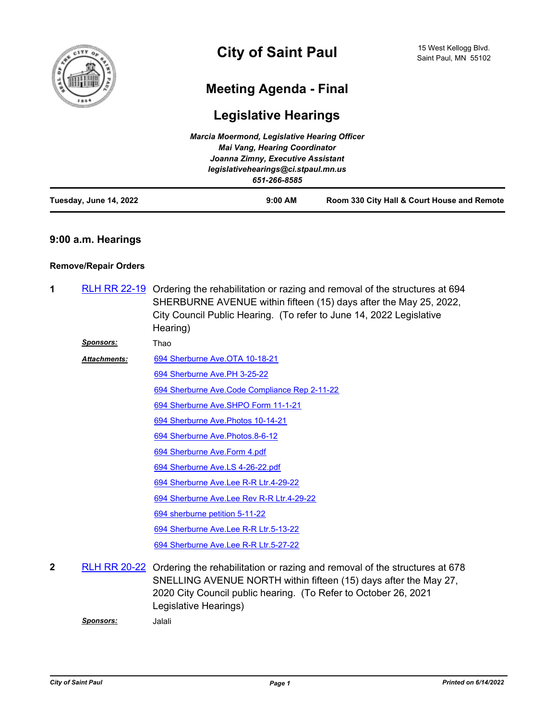

# **Meeting Agenda - Final**

# **Legislative Hearings**

|                        | Marcia Moermond, Legislative Hearing Officer                              |                                             |
|------------------------|---------------------------------------------------------------------------|---------------------------------------------|
|                        | <b>Mai Vang, Hearing Coordinator</b><br>Joanna Zimny, Executive Assistant |                                             |
|                        |                                                                           |                                             |
|                        | legislativehearings@ci.stpaul.mn.us                                       |                                             |
|                        | 651-266-8585                                                              |                                             |
| Tuesday, June 14, 2022 | $9:00$ AM                                                                 | Room 330 City Hall & Court House and Remote |

## **9:00 a.m. Hearings**

### **Remove/Repair Orders**

| 1            |                     | RLH RR 22-19 Ordering the rehabilitation or razing and removal of the structures at 694<br>SHERBURNE AVENUE within fifteen (15) days after the May 25, 2022,<br>City Council Public Hearing. (To refer to June 14, 2022 Legislative<br>Hearing) |
|--------------|---------------------|-------------------------------------------------------------------------------------------------------------------------------------------------------------------------------------------------------------------------------------------------|
|              | <b>Sponsors:</b>    | Thao                                                                                                                                                                                                                                            |
|              | <b>Attachments:</b> | 694 Sherburne Ave.OTA 10-18-21                                                                                                                                                                                                                  |
|              |                     | 694 Sherburne Ave.PH 3-25-22                                                                                                                                                                                                                    |
|              |                     | 694 Sherburne Ave.Code Compliance Rep 2-11-22                                                                                                                                                                                                   |
|              |                     | 694 Sherburne Ave.SHPO Form 11-1-21                                                                                                                                                                                                             |
|              |                     | 694 Sherburne Ave. Photos 10-14-21                                                                                                                                                                                                              |
|              |                     | 694 Sherburne Ave. Photos. 8-6-12                                                                                                                                                                                                               |
|              |                     | 694 Sherburne Ave.Form 4.pdf                                                                                                                                                                                                                    |
|              |                     | 694 Sherburne Ave.LS 4-26-22.pdf                                                                                                                                                                                                                |
|              |                     | 694 Sherburne Ave.Lee R-R Ltr.4-29-22                                                                                                                                                                                                           |
|              |                     | 694 Sherburne Ave.Lee Rev R-R Ltr.4-29-22                                                                                                                                                                                                       |
|              |                     | 694 sherburne petition 5-11-22                                                                                                                                                                                                                  |
|              |                     | 694 Sherburne Ave.Lee R-R Ltr.5-13-22                                                                                                                                                                                                           |
|              |                     | 694 Sherburne Ave.Lee R-R Ltr.5-27-22                                                                                                                                                                                                           |
| $\mathbf{2}$ |                     | RLH RR 20-22 Ordering the rehabilitation or razing and removal of the structures at 678<br>SNELLING AVENUE NORTH within fifteen (15) days after the May 27,                                                                                     |

2020 City Council public hearing. (To Refer to October 26, 2021 Legislative Hearings)

*Sponsors:* Jalali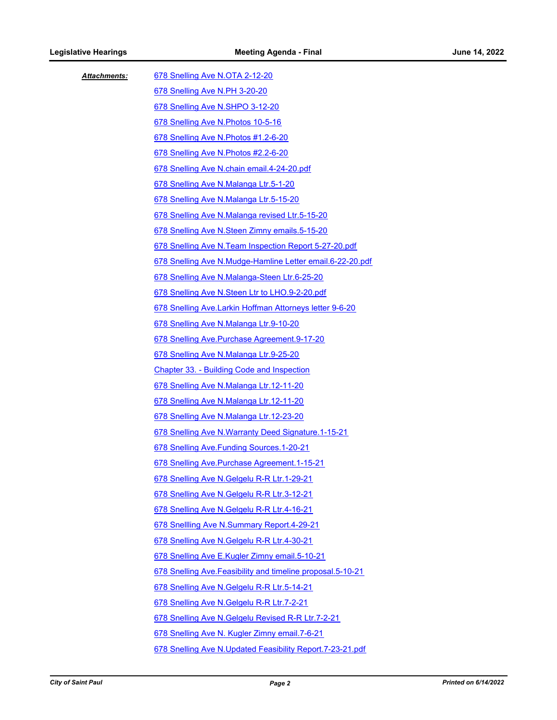| <b>Attachments:</b> | 678 Snelling Ave N.OTA 2-12-20                               |
|---------------------|--------------------------------------------------------------|
|                     | 678 Snelling Ave N.PH 3-20-20                                |
|                     | 678 Snelling Ave N.SHPO 3-12-20                              |
|                     | 678 Snelling Ave N. Photos 10-5-16                           |
|                     | 678 Snelling Ave N.Photos #1.2-6-20                          |
|                     | 678 Snelling Ave N. Photos #2.2-6-20                         |
|                     | 678 Snelling Ave N.chain email.4-24-20.pdf                   |
|                     | 678 Snelling Ave N.Malanga Ltr.5-1-20                        |
|                     | 678 Snelling Ave N.Malanga Ltr.5-15-20                       |
|                     | 678 Snelling Ave N.Malanga revised Ltr.5-15-20               |
|                     | 678 Snelling Ave N.Steen Zimny emails.5-15-20                |
|                     | 678 Snelling Ave N. Team Inspection Report 5-27-20.pdf       |
|                     | 678 Snelling Ave N.Mudge-Hamline Letter email.6-22-20.pdf    |
|                     | 678 Snelling Ave N.Malanga-Steen Ltr.6-25-20                 |
|                     | 678 Snelling Ave N.Steen Ltr to LHO.9-2-20.pdf               |
|                     | 678 Snelling Ave.Larkin Hoffman Attorneys letter 9-6-20      |
|                     | 678 Snelling Ave N.Malanga Ltr.9-10-20                       |
|                     | 678 Snelling Ave. Purchase Agreement. 9-17-20                |
|                     | 678 Snelling Ave N.Malanga Ltr.9-25-20                       |
|                     | <b>Chapter 33. - Building Code and Inspection</b>            |
|                     | 678 Snelling Ave N.Malanga Ltr.12-11-20                      |
|                     | 678 Snelling Ave N.Malanga Ltr.12-11-20                      |
|                     | 678 Snelling Ave N.Malanga Ltr.12-23-20                      |
|                     | 678 Snelling Ave N. Warranty Deed Signature. 1-15-21         |
|                     | 678 Snelling Ave. Funding Sources. 1-20-21                   |
|                     | 678 Snelling Ave. Purchase Agreement. 1-15-21                |
|                     | 678 Snelling Ave N.Gelgelu R-R Ltr.1-29-21                   |
|                     | 678 Snelling Ave N. Gelgelu R-R Ltr. 3-12-21                 |
|                     | 678 Snelling Ave N.Gelgelu R-R Ltr.4-16-21                   |
|                     | 678 Snellling Ave N.Summary Report.4-29-21                   |
|                     | 678 Snelling Ave N.Gelgelu R-R Ltr.4-30-21                   |
|                     | 678 Snelling Ave E.Kugler Zimny email.5-10-21                |
|                     | 678 Snelling Ave. Feasibility and timeline proposal. 5-10-21 |
|                     | 678 Snelling Ave N.Gelgelu R-R Ltr.5-14-21                   |
|                     | 678 Snelling Ave N.Gelgelu R-R Ltr.7-2-21                    |
|                     | 678 Snelling Ave N.Gelgelu Revised R-R Ltr.7-2-21            |
|                     | 678 Snelling Ave N. Kugler Zimny email.7-6-21                |
|                     | 678 Snelling Ave N.Updated Feasibility Report.7-23-21.pdf    |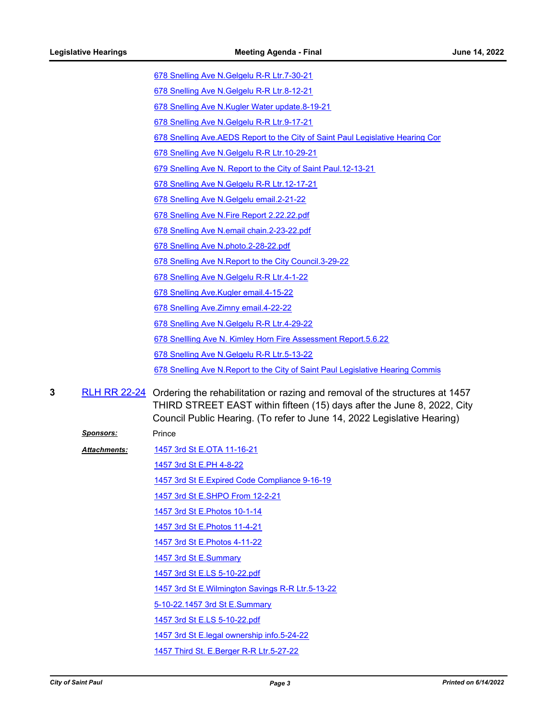[678 Snelling Ave N.Gelgelu R-R Ltr.7-30-21](http://StPaul.legistar.com/gateway.aspx?M=F&ID=8e29f208-f56e-4bd9-8fda-5cab7b1467ec.pdf)

- [678 Snelling Ave N.Gelgelu R-R Ltr.8-12-21](http://StPaul.legistar.com/gateway.aspx?M=F&ID=d2ab88d8-eab3-495b-b586-f3f9d088f76b.pdf)
- [678 Snelling Ave N.Kugler Water update.8-19-21](http://StPaul.legistar.com/gateway.aspx?M=F&ID=f3c7004f-d33e-4578-af19-6ef99ababb26.pdf)
- [678 Snelling Ave N.Gelgelu R-R Ltr.9-17-21](http://StPaul.legistar.com/gateway.aspx?M=F&ID=1743ede4-963a-425d-a696-929c221f6eba.pdf)
- 678 Snelling Ave.AEDS Report to the City of Saint Paul Legislative Hearing Cor
- [678 Snelling Ave N.Gelgelu R-R Ltr.10-29-21](http://StPaul.legistar.com/gateway.aspx?M=F&ID=5d54179c-fe6f-4863-998c-28411e3588af.pdf)
- [679 Snelling Ave N. Report to the City of Saint Paul.12-13-21](http://StPaul.legistar.com/gateway.aspx?M=F&ID=c8a62073-aa97-4626-a1db-9800041c6a50.pdf)
- [678 Snelling Ave N.Gelgelu R-R Ltr.12-17-21](http://StPaul.legistar.com/gateway.aspx?M=F&ID=61bcd0a8-515c-4e1a-9aa1-9f0cfc18f5c5.pdf)
- [678 Snelling Ave N.Gelgelu email.2-21-22](http://StPaul.legistar.com/gateway.aspx?M=F&ID=0dddba77-2e85-4885-b2ee-05f290ab3fa4.pdf)
- [678 Snelling Ave N.Fire Report 2.22.22.pdf](http://StPaul.legistar.com/gateway.aspx?M=F&ID=d27b7fc1-90a5-45ab-8730-01d6b0b7a436.pdf)
- [678 Snelling Ave N.email chain.2-23-22.pdf](http://StPaul.legistar.com/gateway.aspx?M=F&ID=e696a0c5-6200-418b-8e70-208debac4631.pdf)
- [678 Snelling Ave N.photo.2-28-22.pdf](http://StPaul.legistar.com/gateway.aspx?M=F&ID=c712461f-dd13-4844-9501-01c4f028008e.pdf)
- [678 Snelling Ave N.Report to the City Council.3-29-22](http://StPaul.legistar.com/gateway.aspx?M=F&ID=34a3a2c7-1aed-48cf-8c67-eb26af78d677.pdf)
- [678 Snelling Ave N.Gelgelu R-R Ltr.4-1-22](http://StPaul.legistar.com/gateway.aspx?M=F&ID=f06c544e-18a8-4b7c-a8b3-f4e79820a062.pdf)
- [678 Snelling Ave.Kugler email.4-15-22](http://StPaul.legistar.com/gateway.aspx?M=F&ID=1d80ff53-a445-453b-9b2a-1692f4c99f1d.pdf)
- [678 Snelling Ave.Zimny email.4-22-22](http://StPaul.legistar.com/gateway.aspx?M=F&ID=bbd2904f-8281-416e-871d-82d51708b595.pdf)
- [678 Snelling Ave N.Gelgelu R-R Ltr.4-29-22](http://StPaul.legistar.com/gateway.aspx?M=F&ID=4192e30b-9e2a-47e6-b982-b23b9c1d1511.pdf)
- [678 Snellling Ave N. Kimley Horn Fire Assessment Report.5.6.22](http://StPaul.legistar.com/gateway.aspx?M=F&ID=d13e9b6d-d4c9-4541-b35f-ab31c3952505.pdf)
- [678 Snelling Ave N.Gelgelu R-R Ltr.5-13-22](http://StPaul.legistar.com/gateway.aspx?M=F&ID=97927700-9206-4441-83a7-d91fea0b2c94.pdf)
- [678 Snelling Ave N.Report to the City of Saint Paul Legislative Hearing Commis](http://StPaul.legistar.com/gateway.aspx?M=F&ID=576d26ba-942b-4c0c-bc84-e5971954a180.pdf)
- **3** [RLH RR 22-24](http://stpaul.legistar.com/gateway.aspx?m=l&id=/matter.aspx?key=41599) Ordering the rehabilitation or razing and removal of the structures at 1457 THIRD STREET EAST within fifteen (15) days after the June 8, 2022, City Council Public Hearing. (To refer to June 14, 2022 Legislative Hearing)
	- **Sponsors:** Prince
	- *Attachments:*
	- [1457 3rd St E.OTA 11-16-21](http://StPaul.legistar.com/gateway.aspx?M=F&ID=f837eef3-9877-422d-9425-f643adcea872.pdf) [1457 3rd St E.PH 4-8-22](http://StPaul.legistar.com/gateway.aspx?M=F&ID=ff523cc1-bfaa-451c-90e5-f0faddb32dcb.pdf) [1457 3rd St E.Expired Code Compliance 9-16-19](http://StPaul.legistar.com/gateway.aspx?M=F&ID=13831b28-90d0-4e33-9ac2-a6d5f384d83f.pdf) [1457 3rd St E.SHPO From 12-2-21](http://StPaul.legistar.com/gateway.aspx?M=F&ID=3ab12960-f56a-4849-b6fe-679617b62f51.pdf) [1457 3rd St E.Photos 10-1-14](http://StPaul.legistar.com/gateway.aspx?M=F&ID=7fda0826-0503-4307-a04f-b4526f32bb8a.pdf) [1457 3rd St E.Photos 11-4-21](http://StPaul.legistar.com/gateway.aspx?M=F&ID=2504b886-a56a-437a-88e6-c9410315f790.pdf) [1457 3rd St E.Photos 4-11-22](http://StPaul.legistar.com/gateway.aspx?M=F&ID=d60c467d-d459-4df4-bb36-105aff1b0817.pdf) [1457 3rd St E.Summary](http://StPaul.legistar.com/gateway.aspx?M=F&ID=1316d627-e09e-4fbd-93e9-667979fdafd6.docx) [1457 3rd St E.LS 5-10-22.pdf](http://StPaul.legistar.com/gateway.aspx?M=F&ID=cf8156fd-e382-4729-bf9f-2b57df80b1be.pdf) [1457 3rd St E.Wilmington Savings R-R Ltr.5-13-22](http://StPaul.legistar.com/gateway.aspx?M=F&ID=c1b3ba90-fd4e-4c29-98c2-d41d60363bb1.pdf) [5-10-22.1457 3rd St E.Summary](http://StPaul.legistar.com/gateway.aspx?M=F&ID=ea575b65-e387-403e-ba4a-eccd48104cf8.docx) [1457 3rd St E.LS 5-10-22.pdf](http://StPaul.legistar.com/gateway.aspx?M=F&ID=6a16402e-37d1-4f20-9c18-74703d5b63e7.pdf) [1457 3rd St E.legal ownership info.5-24-22](http://StPaul.legistar.com/gateway.aspx?M=F&ID=d412481b-fcf0-4307-aca6-a9f1939a37e6.pdf) [1457 Third St. E.Berger R-R Ltr.5-27-22](http://StPaul.legistar.com/gateway.aspx?M=F&ID=140282fc-b30f-425d-85ca-106c3b11db62.pdf)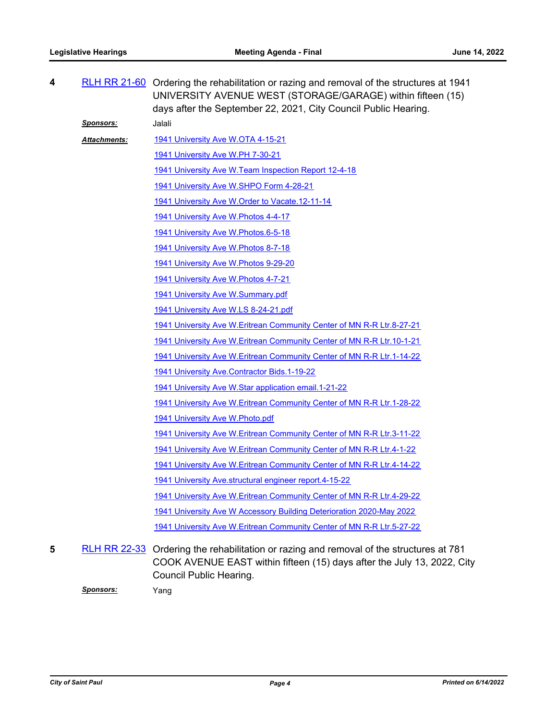| 4 |                     | RLH RR 21-60 Ordering the rehabilitation or razing and removal of the structures at 1941<br>UNIVERSITY AVENUE WEST (STORAGE/GARAGE) within fifteen (15)<br>days after the September 22, 2021, City Council Public Hearing. |
|---|---------------------|----------------------------------------------------------------------------------------------------------------------------------------------------------------------------------------------------------------------------|
|   | <u>Sponsors:</u>    | Jalali                                                                                                                                                                                                                     |
|   | <b>Attachments:</b> | 1941 University Ave W.OTA 4-15-21                                                                                                                                                                                          |
|   |                     | 1941 University Ave W.PH 7-30-21                                                                                                                                                                                           |
|   |                     | 1941 University Ave W. Team Inspection Report 12-4-18                                                                                                                                                                      |
|   |                     | 1941 University Ave W.SHPO Form 4-28-21                                                                                                                                                                                    |
|   |                     | 1941 University Ave W. Order to Vacate. 12-11-14                                                                                                                                                                           |
|   |                     | 1941 University Ave W. Photos 4-4-17                                                                                                                                                                                       |
|   |                     | 1941 University Ave W. Photos. 6-5-18                                                                                                                                                                                      |
|   |                     | 1941 University Ave W. Photos 8-7-18                                                                                                                                                                                       |
|   |                     | 1941 University Ave W.Photos 9-29-20                                                                                                                                                                                       |
|   |                     | 1941 University Ave W. Photos 4-7-21                                                                                                                                                                                       |
|   |                     | 1941 University Ave W.Summary.pdf                                                                                                                                                                                          |
|   |                     | 1941 University Ave W.LS 8-24-21.pdf                                                                                                                                                                                       |
|   |                     | 1941 University Ave W. Eritrean Community Center of MN R-R Ltr.8-27-21                                                                                                                                                     |
|   |                     | 1941 University Ave W. Eritrean Community Center of MN R-R Ltr. 10-1-21                                                                                                                                                    |
|   |                     | 1941 University Ave W. Eritrean Community Center of MN R-R Ltr. 1-14-22                                                                                                                                                    |
|   |                     | 1941 University Ave.Contractor Bids.1-19-22                                                                                                                                                                                |
|   |                     | 1941 University Ave W.Star application email. 1-21-22                                                                                                                                                                      |
|   |                     | 1941 University Ave W. Eritrean Community Center of MN R-R Ltr. 1-28-22                                                                                                                                                    |
|   |                     | 1941 University Ave W. Photo.pdf                                                                                                                                                                                           |
|   |                     | 1941 University Ave W. Eritrean Community Center of MN R-R Ltr.3-11-22                                                                                                                                                     |
|   |                     | 1941 University Ave W. Eritrean Community Center of MN R-R Ltr. 4-1-22                                                                                                                                                     |
|   |                     | 1941 University Ave W. Eritrean Community Center of MN R-R Ltr.4-14-22                                                                                                                                                     |
|   |                     | 1941 University Ave.structural engineer report.4-15-22                                                                                                                                                                     |
|   |                     | 1941 University Ave W. Eritrean Community Center of MN R-R Ltr. 4-29-22                                                                                                                                                    |
|   |                     | 1941 University Ave W Accessory Building Deterioration 2020-May 2022                                                                                                                                                       |
|   |                     | 1941 University Ave W. Eritrean Community Center of MN R-R Ltr. 5-27-22                                                                                                                                                    |
| 5 |                     | RLH RR 22-33 Ordering the rehabilitation or razing and removal of the structures at 781<br>COOK AVENUE EAST within fifteen (15) days after the July 13, 2022, City<br>Council Public Hearing.                              |

*Sponsors:* Yang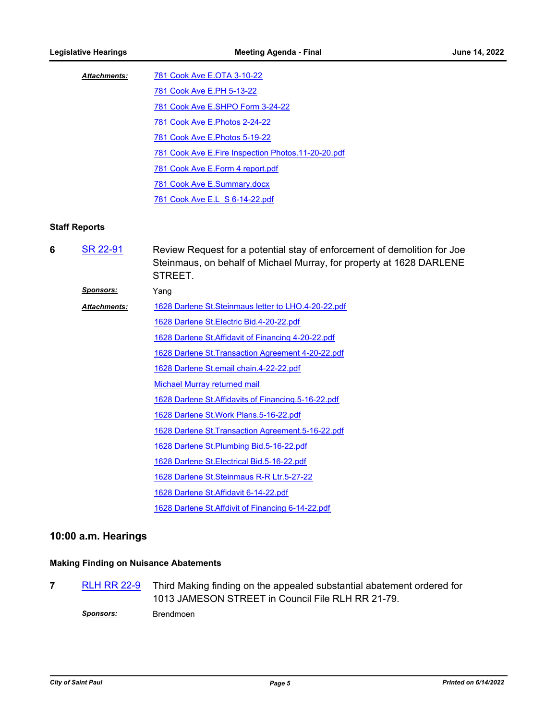| <b>Attachments:</b> | 781 Cook Ave E.OTA 3-10-22                           |
|---------------------|------------------------------------------------------|
|                     | 781 Cook Ave E.PH 5-13-22                            |
|                     | 781 Cook Ave E.SHPO Form 3-24-22                     |
|                     | 781 Cook Ave E. Photos 2-24-22                       |
|                     | 781 Cook Ave E. Photos 5-19-22                       |
|                     | 781 Cook Ave E. Fire Inspection Photos. 11-20-20.pdf |
|                     | 781 Cook Ave E.Form 4 report.pdf                     |
|                     | 781 Cook Ave E.Summary.docx                          |
|                     | 781 Cook Ave E.L S 6-14-22.pdf                       |

#### **Staff Reports**

Review Request for a potential stay of enforcement of demolition for Joe Steinmaus, on behalf of Michael Murray, for property at 1628 DARLENE STREET. **6** [SR 22-91](http://stpaul.legistar.com/gateway.aspx?m=l&id=/matter.aspx?key=41750)

*Sponsors:* Yang [1628 Darlene St.Steinmaus letter to LHO.4-20-22.pdf](http://StPaul.legistar.com/gateway.aspx?M=F&ID=d70a7ee8-0203-4fd1-8855-86b9d9166d4d.pdf) [1628 Darlene St.Electric Bid.4-20-22.pdf](http://StPaul.legistar.com/gateway.aspx?M=F&ID=8fcb1cb4-bde8-494a-a361-ce2353fa4b6d.pdf) [1628 Darlene St.Affidavit of Financing 4-20-22.pdf](http://StPaul.legistar.com/gateway.aspx?M=F&ID=806d613a-119b-4ee9-938e-cb57a9926bf3.pdf) [1628 Darlene St.Transaction Agreement 4-20-22.pdf](http://StPaul.legistar.com/gateway.aspx?M=F&ID=a7de97e2-bef4-4ea3-b0a0-360b65b92082.pdf) [1628 Darlene St.email chain.4-22-22.pdf](http://StPaul.legistar.com/gateway.aspx?M=F&ID=0d4f40d1-7c96-4350-8bc3-a3a4f4492bde.pdf) [Michael Murray returned mail](http://StPaul.legistar.com/gateway.aspx?M=F&ID=bdc09b9d-4e4b-479b-8fec-6da53f84934e.pdf) [1628 Darlene St.Affidavits of Financing.5-16-22.pdf](http://StPaul.legistar.com/gateway.aspx?M=F&ID=6c69c19b-d521-4e27-897a-1a15efe84598.pdf) [1628 Darlene St.Work Plans.5-16-22.pdf](http://StPaul.legistar.com/gateway.aspx?M=F&ID=0ff4fde5-8e29-459f-8973-62f891d299ba.pdf) [1628 Darlene St.Transaction Agreement.5-16-22.pdf](http://StPaul.legistar.com/gateway.aspx?M=F&ID=960f3257-2390-48ee-98cf-3c7f3e7be9af.pdf) [1628 Darlene St.Plumbing Bid.5-16-22.pdf](http://StPaul.legistar.com/gateway.aspx?M=F&ID=70e133b1-bc14-40fa-afbf-236095a12387.pdf) [1628 Darlene St.Electrical Bid.5-16-22.pdf](http://StPaul.legistar.com/gateway.aspx?M=F&ID=7820bde4-5097-48c9-9f6f-70993e890604.pdf) [1628 Darlene St.Steinmaus R-R Ltr.5-27-22](http://StPaul.legistar.com/gateway.aspx?M=F&ID=ecade5b4-493b-466a-ad83-3f8f800492f7.pdf) [1628 Darlene St.Affidavit 6-14-22.pdf](http://StPaul.legistar.com/gateway.aspx?M=F&ID=e99ee9ae-0b99-48a9-a118-8e88a5072912.pdf) [1628 Darlene St.Affdivit of Financing 6-14-22.pdf](http://StPaul.legistar.com/gateway.aspx?M=F&ID=20150cb0-d1a5-41e1-8be9-12880e5aeb18.pdf) *Attachments:*

#### **10:00 a.m. Hearings**

#### **Making Finding on Nuisance Abatements**

Third Making finding on the appealed substantial abatement ordered for 1013 JAMESON STREET in Council File RLH RR 21-79. **7** [RLH RR 22-9](http://stpaul.legistar.com/gateway.aspx?m=l&id=/matter.aspx?key=41142)

*Sponsors:* Brendmoen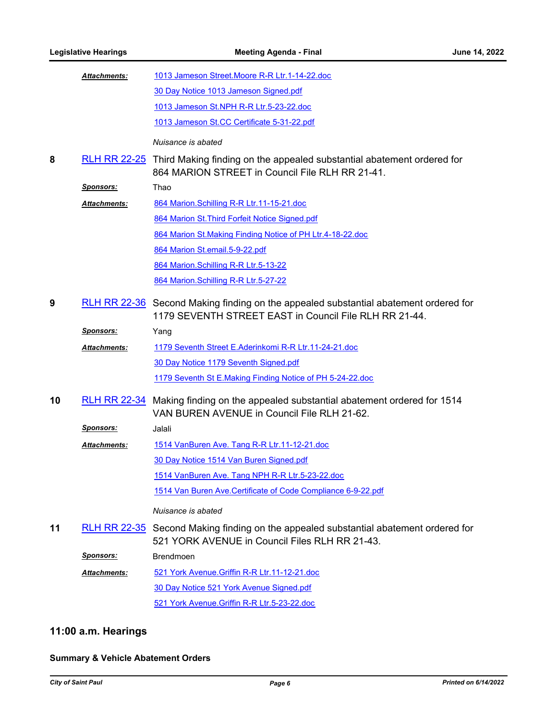|    | <b>Attachments:</b> | 1013 Jameson Street. Moore R-R Ltr. 1-14-22.doc                                                                                                |
|----|---------------------|------------------------------------------------------------------------------------------------------------------------------------------------|
|    |                     | 30 Day Notice 1013 Jameson Signed.pdf                                                                                                          |
|    |                     | 1013 Jameson St.NPH R-R Ltr.5-23-22.doc                                                                                                        |
|    |                     | 1013 Jameson St.CC Certificate 5-31-22.pdf                                                                                                     |
|    |                     | Nuisance is abated                                                                                                                             |
| 8  |                     | RLH RR 22-25 Third Making finding on the appealed substantial abatement ordered for<br>864 MARION STREET in Council File RLH RR 21-41.         |
|    | <u>Sponsors:</u>    | Thao                                                                                                                                           |
|    | <b>Attachments:</b> | 864 Marion.Schilling R-R Ltr.11-15-21.doc                                                                                                      |
|    |                     | 864 Marion St. Third Forfeit Notice Signed.pdf                                                                                                 |
|    |                     | 864 Marion St. Making Finding Notice of PH Ltr. 4-18-22.doc                                                                                    |
|    |                     | 864 Marion St.email.5-9-22.pdf                                                                                                                 |
|    |                     | 864 Marion.Schilling R-R Ltr.5-13-22                                                                                                           |
|    |                     | 864 Marion.Schilling R-R Ltr.5-27-22                                                                                                           |
| 9  |                     | RLH RR 22-36 Second Making finding on the appealed substantial abatement ordered for<br>1179 SEVENTH STREET EAST in Council File RLH RR 21-44. |
|    | <u>Sponsors:</u>    | Yang                                                                                                                                           |
|    | Attachments:        | 1179 Seventh Street E.Aderinkomi R-R Ltr.11-24-21.doc                                                                                          |
|    |                     | 30 Day Notice 1179 Seventh Signed.pdf                                                                                                          |
|    |                     | 1179 Seventh St E.Making Finding Notice of PH 5-24-22.doc                                                                                      |
| 10 |                     | RLH RR 22-34 Making finding on the appealed substantial abatement ordered for 1514<br>VAN BUREN AVENUE in Council File RLH 21-62.              |
|    | <u>Sponsors:</u>    | <b>Jalali</b>                                                                                                                                  |
|    | <b>Attachments:</b> | 1514 VanBuren Ave. Tang R-R Ltr.11-12-21.doc                                                                                                   |
|    |                     | 30 Day Notice 1514 Van Buren Signed.pdf                                                                                                        |
|    |                     | 1514 VanBuren Ave. Tang NPH R-R Ltr.5-23-22.doc                                                                                                |
|    |                     | 1514 Van Buren Ave. Certificate of Code Compliance 6-9-22.pdf                                                                                  |
|    |                     | Nuisance is abated                                                                                                                             |
| 11 |                     | RLH RR 22-35 Second Making finding on the appealed substantial abatement ordered for<br>521 YORK AVENUE in Council Files RLH RR 21-43.         |
|    | <u>Sponsors:</u>    | <b>Brendmoen</b>                                                                                                                               |
|    | Attachments:        | 521 York Avenue. Griffin R-R Ltr. 11-12-21.doc                                                                                                 |
|    |                     | 30 Day Notice 521 York Avenue Signed.pdf                                                                                                       |
|    |                     | 521 York Avenue. Griffin R-R Ltr. 5-23-22. doc                                                                                                 |

## **11:00 a.m. Hearings**

## **Summary & Vehicle Abatement Orders**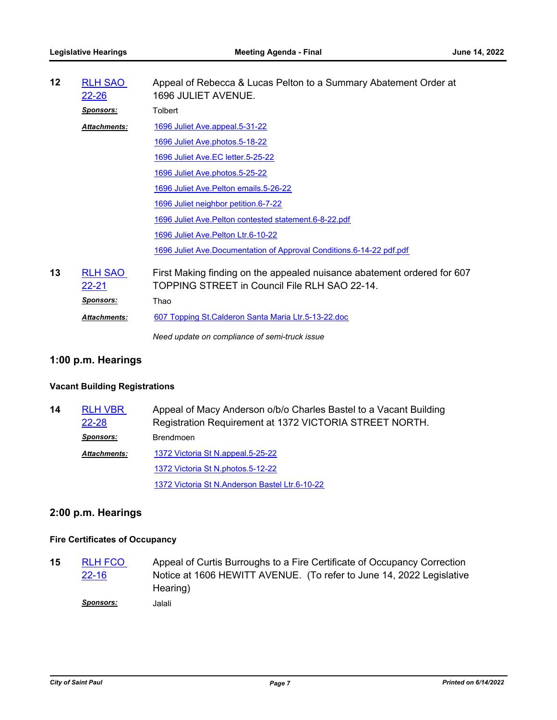| $12 \,$ | <b>RLH SAO</b><br><u>22-26</u> | Appeal of Rebecca & Lucas Pelton to a Summary Abatement Order at<br>1696 JULIET AVENUE.                                  |
|---------|--------------------------------|--------------------------------------------------------------------------------------------------------------------------|
|         | <b>Sponsors:</b>               | <b>Tolbert</b>                                                                                                           |
|         | <b>Attachments:</b>            | 1696 Juliet Ave.appeal.5-31-22                                                                                           |
|         |                                | 1696 Juliet Ave.photos.5-18-22                                                                                           |
|         |                                | 1696 Juliet Ave.EC letter.5-25-22                                                                                        |
|         |                                | 1696 Juliet Ave.photos.5-25-22                                                                                           |
|         |                                | 1696 Juliet Ave. Pelton emails. 5-26-22                                                                                  |
|         |                                | 1696 Juliet neighbor petition.6-7-22                                                                                     |
|         |                                | 1696 Juliet Ave. Pelton contested statement. 6-8-22. pdf                                                                 |
|         |                                | 1696 Juliet Ave. Pelton Ltr.6-10-22                                                                                      |
|         |                                | 1696 Juliet Ave.Documentation of Approval Conditions.6-14-22 pdf.pdf                                                     |
| 13      | <b>RLH SAO</b><br><u>22-21</u> | First Making finding on the appealed nuisance abatement ordered for 607<br>TOPPING STREET in Council File RLH SAO 22-14. |
|         | <b>Sponsors:</b>               | Thao                                                                                                                     |
|         | <b>Attachments:</b>            | 607 Topping St. Calderon Santa Maria Ltr. 5-13-22. doc                                                                   |
|         |                                | Need update on compliance of semi-truck issue                                                                            |

## **1:00 p.m. Hearings**

## **Vacant Building Registrations**

| 14 | <b>RLH VBR</b>      | Appeal of Macy Anderson o/b/o Charles Bastel to a Vacant Building |
|----|---------------------|-------------------------------------------------------------------|
|    | 22-28               | Registration Requirement at 1372 VICTORIA STREET NORTH.           |
|    | <b>Sponsors:</b>    | <b>Brendmoen</b>                                                  |
|    | <b>Attachments:</b> | 1372 Victoria St N.appeal.5-25-22                                 |
|    |                     | 1372 Victoria St N.photos.5-12-22                                 |
|    |                     | 1372 Victoria St N.Anderson Bastel Ltr.6-10-22                    |

## **2:00 p.m. Hearings**

## **Fire Certificates of Occupancy**

Appeal of Curtis Burroughs to a Fire Certificate of Occupancy Correction Notice at 1606 HEWITT AVENUE. (To refer to June 14, 2022 Legislative Hearing) **15** [RLH FCO](http://stpaul.legistar.com/gateway.aspx?m=l&id=/matter.aspx?key=41109)  22-16 *Sponsors:* Jalali